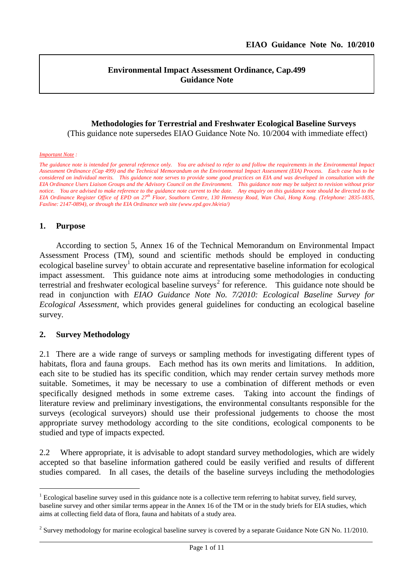l

#### **Environmental Impact Assessment Ordinance, Cap.499 Guidance Note**

### **Methodologies for Terrestrial and Freshwater Ecological Baseline Surveys**

(This guidance note supersedes EIAO Guidance Note No. 10/2004 with immediate effect)

#### *Important Note :*

*The guidance note is intended for general reference only. You are advised to refer to and follow the requirements in the Environmental Impact Assessment Ordinance (Cap 499) and the Technical Memorandum on the Environmental Impact Assessment (EIA) Process. Each case has to be considered on individual merits. This guidance note serves to provide some good practices on EIA and was developed in consultation with the EIA Ordinance Users Liaison Groups and the Advisory Council on the Environment. This guidance note may be subject to revision without prior notice. You are advised to make reference to the guidance note current to the date. Any enquiry on this guidance note should be directed to the EIA Ordinance Register Office of EPD on 27th Floor, Southorn Centre, 130 Hennessy Road, Wan Chai, Hong Kong. (Telephone: 2835-1835, Faxline: 2147-0894), or through the EIA Ordinance web site (www.epd.gov.hk/eia/)*

#### **1. Purpose**

 $\overline{a}$ 

According to section 5, Annex 16 of the Technical Memorandum on Environmental Impact Assessment Process (TM), sound and scientific methods should be employed in conducting ecological baseline survey<sup>[1](#page-0-0)</sup> to obtain accurate and representative baseline information for ecological impact assessment. This guidance note aims at introducing some methodologies in conducting terrestrial and freshwater ecological baseline surveys<sup>[2](#page-0-1)</sup> for reference. This guidance note should be read in conjunction with *EIAO Guidance Note No. 7/2010: Ecological Baseline Survey for Ecological Assessment*, which provides general guidelines for conducting an ecological baseline survey.

#### **2. Survey Methodology**

2.1 There are a wide range of surveys or sampling methods for investigating different types of habitats, flora and fauna groups. Each method has its own merits and limitations. In addition, each site to be studied has its specific condition, which may render certain survey methods more suitable. Sometimes, it may be necessary to use a combination of different methods or even specifically designed methods in some extreme cases. Taking into account the findings of literature review and preliminary investigations, the environmental consultants responsible for the surveys (ecological surveyors) should use their professional judgements to choose the most appropriate survey methodology according to the site conditions, ecological components to be studied and type of impacts expected.

2.2 Where appropriate, it is advisable to adopt standard survey methodologies, which are widely accepted so that baseline information gathered could be easily verified and results of different studies compared. In all cases, the details of the baseline surveys including the methodologies

<span id="page-0-0"></span> $<sup>1</sup>$  Ecological baseline survey used in this guidance note is a collective term referring to habitat survey, field survey,</sup> baseline survey and other similar terms appear in the Annex 16 of the TM or in the study briefs for EIA studies, which aims at collecting field data of flora, fauna and habitats of a study area.

<span id="page-0-1"></span><sup>&</sup>lt;sup>2</sup> Survey methodology for marine ecological baseline survey is covered by a separate Guidance Note GN No. 11/2010.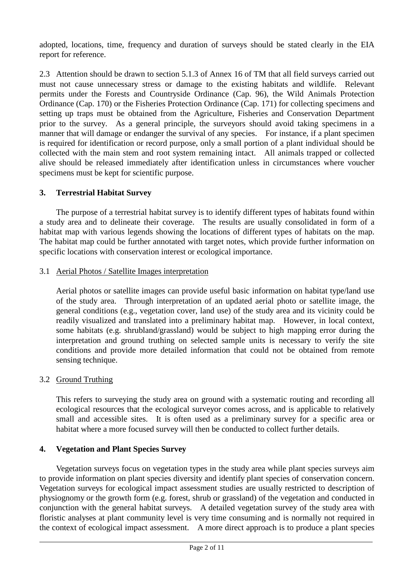adopted, locations, time, frequency and duration of surveys should be stated clearly in the EIA report for reference.

2.3 Attention should be drawn to section 5.1.3 of Annex 16 of TM that all field surveys carried out must not cause unnecessary stress or damage to the existing habitats and wildlife. Relevant permits under the Forests and Countryside Ordinance (Cap. 96), the Wild Animals Protection Ordinance (Cap. 170) or the Fisheries Protection Ordinance (Cap. 171) for collecting specimens and setting up traps must be obtained from the Agriculture, Fisheries and Conservation Department prior to the survey. As a general principle, the surveyors should avoid taking specimens in a manner that will damage or endanger the survival of any species. For instance, if a plant specimen is required for identification or record purpose, only a small portion of a plant individual should be collected with the main stem and root system remaining intact. All animals trapped or collected alive should be released immediately after identification unless in circumstances where voucher specimens must be kept for scientific purpose.

## **3. Terrestrial Habitat Survey**

The purpose of a terrestrial habitat survey is to identify different types of habitats found within a study area and to delineate their coverage. The results are usually consolidated in form of a habitat map with various legends showing the locations of different types of habitats on the map. The habitat map could be further annotated with target notes, which provide further information on specific locations with conservation interest or ecological importance.

## 3.1 Aerial Photos / Satellite Images interpretation

Aerial photos or satellite images can provide useful basic information on habitat type/land use of the study area. Through interpretation of an updated aerial photo or satellite image, the general conditions (e.g., vegetation cover, land use) of the study area and its vicinity could be readily visualized and translated into a preliminary habitat map. However, in local context, some habitats (e.g. shrubland/grassland) would be subject to high mapping error during the interpretation and ground truthing on selected sample units is necessary to verify the site conditions and provide more detailed information that could not be obtained from remote sensing technique.

## 3.2 Ground Truthing

This refers to surveying the study area on ground with a systematic routing and recording all ecological resources that the ecological surveyor comes across, and is applicable to relatively small and accessible sites. It is often used as a preliminary survey for a specific area or habitat where a more focused survey will then be conducted to collect further details.

## **4. Vegetation and Plant Species Survey**

Vegetation surveys focus on vegetation types in the study area while plant species surveys aim to provide information on plant species diversity and identify plant species of conservation concern. Vegetation surveys for ecological impact assessment studies are usually restricted to description of physiognomy or the growth form (e.g. forest, shrub or grassland) of the vegetation and conducted in conjunction with the general habitat surveys. A detailed vegetation survey of the study area with floristic analyses at plant community level is very time consuming and is normally not required in the context of ecological impact assessment. A more direct approach is to produce a plant species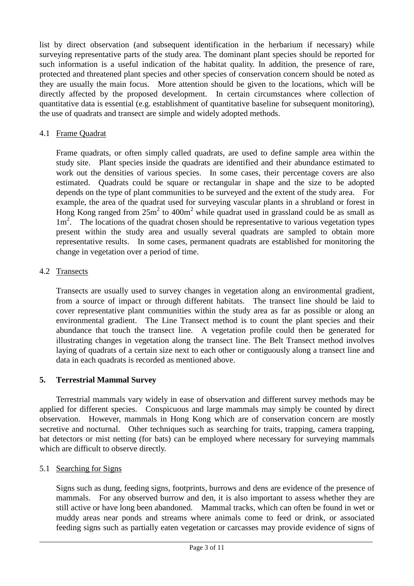list by direct observation (and subsequent identification in the herbarium if necessary) while surveying representative parts of the study area. The dominant plant species should be reported for such information is a useful indication of the habitat quality. In addition, the presence of rare, protected and threatened plant species and other species of conservation concern should be noted as they are usually the main focus. More attention should be given to the locations, which will be directly affected by the proposed development. In certain circumstances where collection of quantitative data is essential (e.g. establishment of quantitative baseline for subsequent monitoring), the use of quadrats and transect are simple and widely adopted methods.

## 4.1 Frame Quadrat

Frame quadrats, or often simply called quadrats, are used to define sample area within the study site. Plant species inside the quadrats are identified and their abundance estimated to work out the densities of various species. In some cases, their percentage covers are also estimated. Quadrats could be square or rectangular in shape and the size to be adopted depends on the type of plant communities to be surveyed and the extent of the study area. For example, the area of the quadrat used for surveying vascular plants in a shrubland or forest in Hong Kong ranged from  $25m^2$  to  $400m^2$  while quadrat used in grassland could be as small as 1m<sup>2</sup>. The locations of the quadrat chosen should be representative to various vegetation types present within the study area and usually several quadrats are sampled to obtain more representative results. In some cases, permanent quadrats are established for monitoring the change in vegetation over a period of time.

# 4.2 Transects

Transects are usually used to survey changes in vegetation along an environmental gradient, from a source of impact or through different habitats. The transect line should be laid to cover representative plant communities within the study area as far as possible or along an environmental gradient. The Line Transect method is to count the plant species and their abundance that touch the transect line. A vegetation profile could then be generated for illustrating changes in vegetation along the transect line. The Belt Transect method involves laying of quadrats of a certain size next to each other or contiguously along a transect line and data in each quadrats is recorded as mentioned above.

## **5. Terrestrial Mammal Survey**

Terrestrial mammals vary widely in ease of observation and different survey methods may be applied for different species. Conspicuous and large mammals may simply be counted by direct observation. However, mammals in Hong Kong which are of conservation concern are mostly secretive and nocturnal. Other techniques such as searching for traits, trapping, camera trapping, bat detectors or mist netting (for bats) can be employed where necessary for surveying mammals which are difficult to observe directly.

## 5.1 Searching for Signs

Signs such as dung, feeding signs, footprints, burrows and dens are evidence of the presence of mammals. For any observed burrow and den, it is also important to assess whether they are still active or have long been abandoned. Mammal tracks, which can often be found in wet or muddy areas near ponds and streams where animals come to feed or drink, or associated feeding signs such as partially eaten vegetation or carcasses may provide evidence of signs of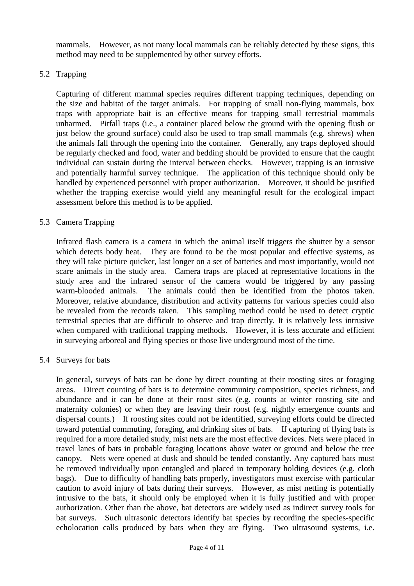mammals. However, as not many local mammals can be reliably detected by these signs, this method may need to be supplemented by other survey efforts.

## 5.2 Trapping

Capturing of different mammal species requires different trapping techniques, depending on the size and habitat of the target animals. For trapping of small non-flying mammals, box traps with appropriate bait is an effective means for trapping small terrestrial mammals unharmed. Pitfall traps (i.e., a container placed below the ground with the opening flush or just below the ground surface) could also be used to trap small mammals (e.g. shrews) when the animals fall through the opening into the container. Generally, any traps deployed should be regularly checked and food, water and bedding should be provided to ensure that the caught individual can sustain during the interval between checks. However, trapping is an intrusive and potentially harmful survey technique. The application of this technique should only be handled by experienced personnel with proper authorization. Moreover, it should be justified whether the trapping exercise would yield any meaningful result for the ecological impact assessment before this method is to be applied.

# 5.3 Camera Trapping

Infrared flash camera is a camera in which the animal itself triggers the shutter by a sensor which detects body heat. They are found to be the most popular and effective systems, as they will take picture quicker, last longer on a set of batteries and most importantly, would not scare animals in the study area. Camera traps are placed at representative locations in the study area and the infrared sensor of the camera would be triggered by any passing warm-blooded animals. The animals could then be identified from the photos taken. Moreover, relative abundance, distribution and activity patterns for various species could also be revealed from the records taken. This sampling method could be used to detect cryptic terrestrial species that are difficult to observe and trap directly. It is relatively less intrusive when compared with traditional trapping methods. However, it is less accurate and efficient in surveying arboreal and flying species or those live underground most of the time.

## 5.4 Surveys for bats

In general, surveys of bats can be done by direct counting at their roosting sites or foraging areas. Direct counting of bats is to determine community composition, species richness, and abundance and it can be done at their roost sites (e.g. counts at winter roosting site and maternity colonies) or when they are leaving their roost (e.g. nightly emergence counts and dispersal counts.) If roosting sites could not be identified, surveying efforts could be directed toward potential commuting, foraging, and drinking sites of bats. If capturing of flying bats is required for a more detailed study, mist nets are the most effective devices. Nets were placed in travel lanes of bats in probable foraging locations above water or ground and below the tree canopy. Nets were opened at dusk and should be tended constantly. Any captured bats must be removed individually upon entangled and placed in temporary holding devices (e.g. cloth bags). Due to difficulty of handling bats properly, investigators must exercise with particular caution to avoid injury of bats during their surveys. However, as mist netting is potentially intrusive to the bats, it should only be employed when it is fully justified and with proper authorization. Other than the above, bat detectors are widely used as indirect survey tools for bat surveys. Such ultrasonic detectors identify bat species by recording the species-specific echolocation calls produced by bats when they are flying. Two ultrasound systems, i.e.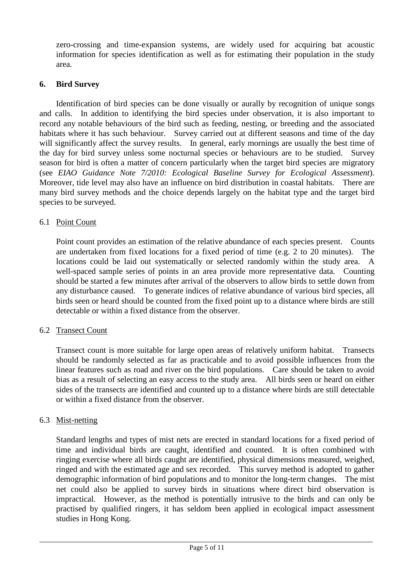zero-crossing and time-expansion systems, are widely used for acquiring bat acoustic information for species identification as well as for estimating their population in the study area.

## **6. Bird Survey**

Identification of bird species can be done visually or aurally by recognition of unique songs and calls. In addition to identifying the bird species under observation, it is also important to record any notable behaviours of the bird such as feeding, nesting, or breeding and the associated habitats where it has such behaviour. Survey carried out at different seasons and time of the day will significantly affect the survey results. In general, early mornings are usually the best time of the day for bird survey unless some nocturnal species or behaviours are to be studied. Survey season for bird is often a matter of concern particularly when the target bird species are migratory (see *EIAO Guidance Note 7/2010: Ecological Baseline Survey for Ecological Assessment*). Moreover, tide level may also have an influence on bird distribution in coastal habitats. There are many bird survey methods and the choice depends largely on the habitat type and the target bird species to be surveyed.

## 6.1 Point Count

Point count provides an estimation of the relative abundance of each species present. Counts are undertaken from fixed locations for a fixed period of time (e.g. 2 to 20 minutes). The locations could be laid out systematically or selected randomly within the study area. A well-spaced sample series of points in an area provide more representative data. Counting should be started a few minutes after arrival of the observers to allow birds to settle down from any disturbance caused. To generate indices of relative abundance of various bird species, all birds seen or heard should be counted from the fixed point up to a distance where birds are still detectable or within a fixed distance from the observer.

#### 6.2 Transect Count

Transect count is more suitable for large open areas of relatively uniform habitat. Transects should be randomly selected as far as practicable and to avoid possible influences from the linear features such as road and river on the bird populations. Care should be taken to avoid bias as a result of selecting an easy access to the study area. All birds seen or heard on either sides of the transects are identified and counted up to a distance where birds are still detectable or within a fixed distance from the observer.

## 6.3 Mist-netting

Standard lengths and types of mist nets are erected in standard locations for a fixed period of time and individual birds are caught, identified and counted. It is often combined with ringing exercise where all birds caught are identified, physical dimensions measured, weighed, ringed and with the estimated age and sex recorded. This survey method is adopted to gather demographic information of bird populations and to monitor the long-term changes. The mist net could also be applied to survey birds in situations where direct bird observation is impractical. However, as the method is potentially intrusive to the birds and can only be practised by qualified ringers, it has seldom been applied in ecological impact assessment studies in Hong Kong.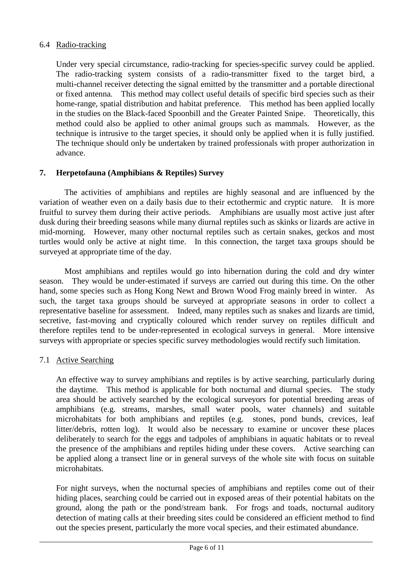## 6.4 Radio-tracking

Under very special circumstance, radio-tracking for species-specific survey could be applied. The radio-tracking system consists of a radio-transmitter fixed to the target bird, a multi-channel receiver detecting the signal emitted by the transmitter and a portable directional or fixed antenna. This method may collect useful details of specific bird species such as their home-range, spatial distribution and habitat preference. This method has been applied locally in the studies on the Black-faced Spoonbill and the Greater Painted Snipe. Theoretically, this method could also be applied to other animal groups such as mammals. However, as the technique is intrusive to the target species, it should only be applied when it is fully justified. The technique should only be undertaken by trained professionals with proper authorization in advance.

## **7. Herpetofauna (Amphibians & Reptiles) Survey**

The activities of amphibians and reptiles are highly seasonal and are influenced by the variation of weather even on a daily basis due to their ectothermic and cryptic nature. It is more fruitful to survey them during their active periods. Amphibians are usually most active just after dusk during their breeding seasons while many diurnal reptiles such as skinks or lizards are active in mid-morning. However, many other nocturnal reptiles such as certain snakes, geckos and most turtles would only be active at night time. In this connection, the target taxa groups should be surveyed at appropriate time of the day.

Most amphibians and reptiles would go into hibernation during the cold and dry winter season. They would be under-estimated if surveys are carried out during this time. On the other hand, some species such as Hong Kong Newt and Brown Wood Frog mainly breed in winter. As such, the target taxa groups should be surveyed at appropriate seasons in order to collect a representative baseline for assessment. Indeed, many reptiles such as snakes and lizards are timid, secretive, fast-moving and cryptically coloured which render survey on reptiles difficult and therefore reptiles tend to be under-represented in ecological surveys in general. More intensive surveys with appropriate or species specific survey methodologies would rectify such limitation.

#### 7.1 Active Searching

An effective way to survey amphibians and reptiles is by active searching, particularly during the daytime. This method is applicable for both nocturnal and diurnal species. The study area should be actively searched by the ecological surveyors for potential breeding areas of amphibians (e.g. streams, marshes, small water pools, water channels) and suitable microhabitats for both amphibians and reptiles (e.g. stones, pond bunds, crevices, leaf litter/debris, rotten log). It would also be necessary to examine or uncover these places deliberately to search for the eggs and tadpoles of amphibians in aquatic habitats or to reveal the presence of the amphibians and reptiles hiding under these covers. Active searching can be applied along a transect line or in general surveys of the whole site with focus on suitable microhabitats.

For night surveys, when the nocturnal species of amphibians and reptiles come out of their hiding places, searching could be carried out in exposed areas of their potential habitats on the ground, along the path or the pond/stream bank. For frogs and toads, nocturnal auditory detection of mating calls at their breeding sites could be considered an efficient method to find out the species present, particularly the more vocal species, and their estimated abundance.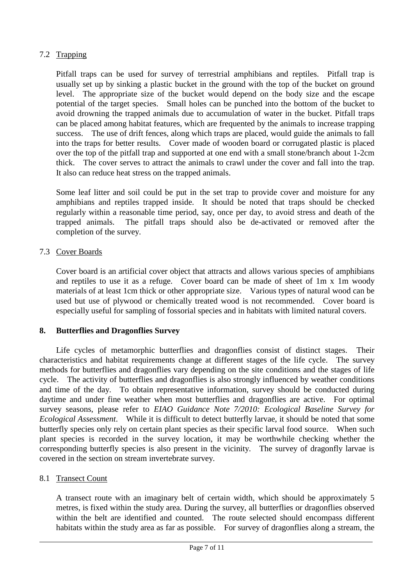## 7.2 Trapping

Pitfall traps can be used for survey of terrestrial amphibians and reptiles. Pitfall trap is usually set up by sinking a plastic bucket in the ground with the top of the bucket on ground level. The appropriate size of the bucket would depend on the body size and the escape potential of the target species. Small holes can be punched into the bottom of the bucket to avoid drowning the trapped animals due to accumulation of water in the bucket. Pitfall traps can be placed among habitat features, which are frequented by the animals to increase trapping success. The use of drift fences, along which traps are placed, would guide the animals to fall into the traps for better results. Cover made of wooden board or corrugated plastic is placed over the top of the pitfall trap and supported at one end with a small stone/branch about 1-2cm thick. The cover serves to attract the animals to crawl under the cover and fall into the trap. It also can reduce heat stress on the trapped animals.

Some leaf litter and soil could be put in the set trap to provide cover and moisture for any amphibians and reptiles trapped inside. It should be noted that traps should be checked regularly within a reasonable time period, say, once per day, to avoid stress and death of the trapped animals. The pitfall traps should also be de-activated or removed after the completion of the survey.

# 7.3 Cover Boards

Cover board is an artificial cover object that attracts and allows various species of amphibians and reptiles to use it as a refuge. Cover board can be made of sheet of 1m x 1m woody materials of at least 1cm thick or other appropriate size. Various types of natural wood can be used but use of plywood or chemically treated wood is not recommended. Cover board is especially useful for sampling of fossorial species and in habitats with limited natural covers.

## **8. Butterflies and Dragonflies Survey**

Life cycles of metamorphic butterflies and dragonflies consist of distinct stages. Their characteristics and habitat requirements change at different stages of the life cycle. The survey methods for butterflies and dragonflies vary depending on the site conditions and the stages of life cycle. The activity of butterflies and dragonflies is also strongly influenced by weather conditions and time of the day. To obtain representative information, survey should be conducted during daytime and under fine weather when most butterflies and dragonflies are active. For optimal survey seasons, please refer to *EIAO Guidance Note 7/2010: Ecological Baseline Survey for Ecological Assessment*. While it is difficult to detect butterfly larvae, it should be noted that some butterfly species only rely on certain plant species as their specific larval food source. When such plant species is recorded in the survey location, it may be worthwhile checking whether the corresponding butterfly species is also present in the vicinity. The survey of dragonfly larvae is covered in the section on stream invertebrate survey.

## 8.1 Transect Count

A transect route with an imaginary belt of certain width, which should be approximately 5 metres, is fixed within the study area. During the survey, all butterflies or dragonflies observed within the belt are identified and counted. The route selected should encompass different habitats within the study area as far as possible. For survey of dragonflies along a stream, the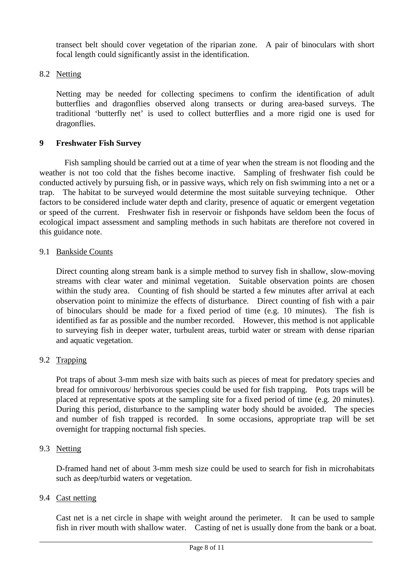transect belt should cover vegetation of the riparian zone. A pair of binoculars with short focal length could significantly assist in the identification.

## 8.2 Netting

Netting may be needed for collecting specimens to confirm the identification of adult butterflies and dragonflies observed along transects or during area-based surveys. The traditional 'butterfly net' is used to collect butterflies and a more rigid one is used for dragonflies.

## **9 Freshwater Fish Survey**

Fish sampling should be carried out at a time of year when the stream is not flooding and the weather is not too cold that the fishes become inactive. Sampling of freshwater fish could be conducted actively by pursuing fish, or in passive ways, which rely on fish swimming into a net or a trap. The habitat to be surveyed would determine the most suitable surveying technique. Other factors to be considered include water depth and clarity, presence of aquatic or emergent vegetation or speed of the current. Freshwater fish in reservoir or fishponds have seldom been the focus of ecological impact assessment and sampling methods in such habitats are therefore not covered in this guidance note.

#### 9.1 Bankside Counts

Direct counting along stream bank is a simple method to survey fish in shallow, slow-moving streams with clear water and minimal vegetation. Suitable observation points are chosen within the study area. Counting of fish should be started a few minutes after arrival at each observation point to minimize the effects of disturbance. Direct counting of fish with a pair of binoculars should be made for a fixed period of time (e.g. 10 minutes). The fish is identified as far as possible and the number recorded. However, this method is not applicable to surveying fish in deeper water, turbulent areas, turbid water or stream with dense riparian and aquatic vegetation.

## 9.2 Trapping

Pot traps of about 3-mm mesh size with baits such as pieces of meat for predatory species and bread for omnivorous/ herbivorous species could be used for fish trapping. Pots traps will be placed at representative spots at the sampling site for a fixed period of time (e.g. 20 minutes). During this period, disturbance to the sampling water body should be avoided. The species and number of fish trapped is recorded. In some occasions, appropriate trap will be set overnight for trapping nocturnal fish species.

#### 9.3 Netting

D-framed hand net of about 3-mm mesh size could be used to search for fish in microhabitats such as deep/turbid waters or vegetation.

#### 9.4 Cast netting

Cast net is a net circle in shape with weight around the perimeter. It can be used to sample fish in river mouth with shallow water. Casting of net is usually done from the bank or a boat.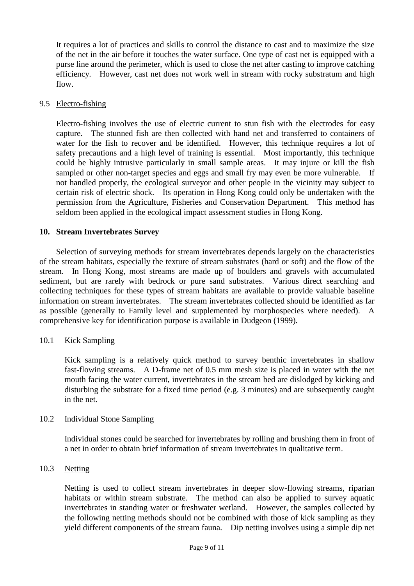It requires a lot of practices and skills to control the distance to cast and to maximize the size of the net in the air before it touches the water surface. One type of cast net is equipped with a purse line around the perimeter, which is used to close the net after casting to improve catching efficiency. However, cast net does not work well in stream with rocky substratum and high flow.

## 9.5 Electro-fishing

Electro-fishing involves the use of electric current to stun fish with the electrodes for easy capture. The stunned fish are then collected with hand net and transferred to containers of water for the fish to recover and be identified. However, this technique requires a lot of safety precautions and a high level of training is essential. Most importantly, this technique could be highly intrusive particularly in small sample areas. It may injure or kill the fish sampled or other non-target species and eggs and small fry may even be more vulnerable. If not handled properly, the ecological surveyor and other people in the vicinity may subject to certain risk of electric shock. Its operation in Hong Kong could only be undertaken with the permission from the Agriculture, Fisheries and Conservation Department. This method has seldom been applied in the ecological impact assessment studies in Hong Kong.

## **10. Stream Invertebrates Survey**

Selection of surveying methods for stream invertebrates depends largely on the characteristics of the stream habitats, especially the texture of stream substrates (hard or soft) and the flow of the stream. In Hong Kong, most streams are made up of boulders and gravels with accumulated sediment, but are rarely with bedrock or pure sand substrates. Various direct searching and collecting techniques for these types of stream habitats are available to provide valuable baseline information on stream invertebrates. The stream invertebrates collected should be identified as far as possible (generally to Family level and supplemented by morphospecies where needed). A comprehensive key for identification purpose is available in Dudgeon (1999).

#### 10.1 Kick Sampling

Kick sampling is a relatively quick method to survey benthic invertebrates in shallow fast-flowing streams. A D-frame net of 0.5 mm mesh size is placed in water with the net mouth facing the water current, invertebrates in the stream bed are dislodged by kicking and disturbing the substrate for a fixed time period (e.g. 3 minutes) and are subsequently caught in the net.

#### 10.2 Individual Stone Sampling

Individual stones could be searched for invertebrates by rolling and brushing them in front of a net in order to obtain brief information of stream invertebrates in qualitative term.

## 10.3 Netting

Netting is used to collect stream invertebrates in deeper slow-flowing streams, riparian habitats or within stream substrate. The method can also be applied to survey aquatic invertebrates in standing water or freshwater wetland. However, the samples collected by the following netting methods should not be combined with those of kick sampling as they yield different components of the stream fauna. Dip netting involves using a simple dip net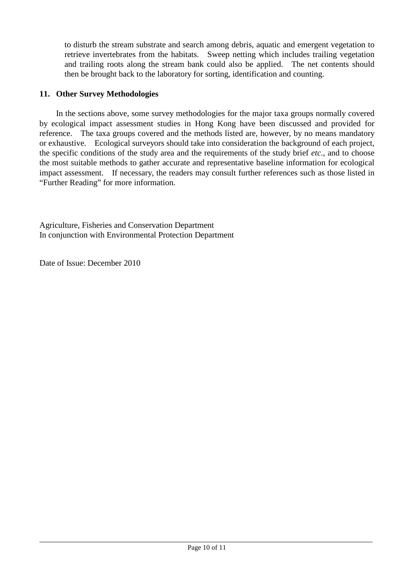to disturb the stream substrate and search among debris, aquatic and emergent vegetation to retrieve invertebrates from the habitats. Sweep netting which includes trailing vegetation and trailing roots along the stream bank could also be applied. The net contents should then be brought back to the laboratory for sorting, identification and counting.

## **11. Other Survey Methodologies**

In the sections above, some survey methodologies for the major taxa groups normally covered by ecological impact assessment studies in Hong Kong have been discussed and provided for reference. The taxa groups covered and the methods listed are, however, by no means mandatory or exhaustive. Ecological surveyors should take into consideration the background of each project, the specific conditions of the study area and the requirements of the study brief *etc*., and to choose the most suitable methods to gather accurate and representative baseline information for ecological impact assessment. If necessary, the readers may consult further references such as those listed in "Further Reading" for more information.

Agriculture, Fisheries and Conservation Department In conjunction with Environmental Protection Department

Date of Issue: December 2010